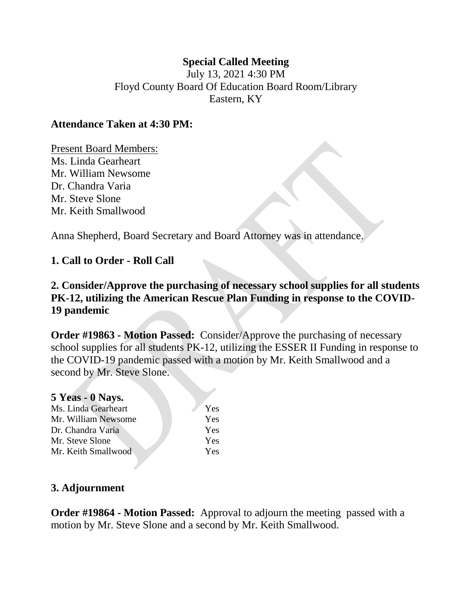## **Special Called Meeting**

July 13, 2021 4:30 PM Floyd County Board Of Education Board Room/Library Eastern, KY

### **Attendance Taken at 4:30 PM:**

Present Board Members: Ms. Linda Gearheart Mr. William Newsome Dr. Chandra Varia Mr. Steve Slone Mr. Keith Smallwood

Anna Shepherd, Board Secretary and Board Attorney was in attendance.

## **1. Call to Order - Roll Call**

**2. Consider/Approve the purchasing of necessary school supplies for all students PK-12, utilizing the American Rescue Plan Funding in response to the COVID-19 pandemic** 

**Order #19863 - Motion Passed:** Consider/Approve the purchasing of necessary school supplies for all students PK-12, utilizing the ESSER II Funding in response to the COVID-19 pandemic passed with a motion by Mr. Keith Smallwood and a second by Mr. Steve Slone.

| 5 Yeas - 0 Nays.    |     |
|---------------------|-----|
| Ms. Linda Gearheart | Yes |
| Mr. William Newsome | Yes |
| Dr. Chandra Varia   | Yes |
| Mr. Steve Slone     | Yes |
| Mr. Keith Smallwood | Yes |

#### **3. Adjournment**

**Order #19864 - Motion Passed:** Approval to adjourn the meeting passed with a motion by Mr. Steve Slone and a second by Mr. Keith Smallwood.